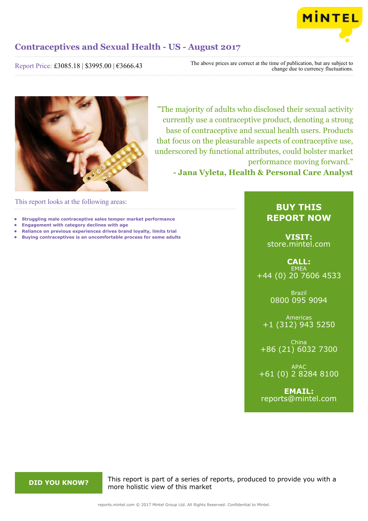

Report Price: £3085.18 | \$3995.00 | €3666.43

The above prices are correct at the time of publication, but are subject to change due to currency fluctuations.



"The majority of adults who disclosed their sexual activity currently use a contraceptive product, denoting a strong base of contraceptive and sexual health users. Products that focus on the pleasurable aspects of contraceptive use, underscored by functional attributes, could bolster market performance moving forward." **- Jana Vyleta, Health & Personal Care Analyst**

This report looks at the following areas:

- **• Struggling male contraceptive sales temper market performance**
- **• Engagement with category declines with age**
- **• Reliance on previous experiences drives brand loyalty, limits trial**
- **• Buying contraceptives is an uncomfortable process for some adults**

#### **BUY THIS REPORT NOW**

**VISIT:** [store.mintel.com](http://reports.mintel.com//display/store/793983/)

**CALL: EMEA** +44 (0) 20 7606 4533

> Brazil 0800 095 9094

Americas +1 (312) 943 5250

China +86 (21) 6032 7300

APAC +61 (0) 2 8284 8100

**EMAIL:** [reports@mintel.com](mailto:reports@mintel.com)

**DID YOU KNOW?** This report is part of a series of reports, produced to provide you with a more holistic view of this market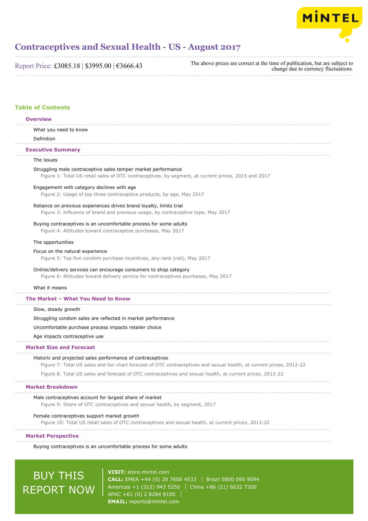

Report Price: £3085.18 | \$3995.00 | €3666.43

The above prices are correct at the time of publication, but are subject to change due to currency fluctuations.

#### **Table of Contents**

### What you need to know Definition The issues Struggling male contraceptive sales temper market performance Figure 1: Total US retail sales of OTC contraceptives, by segment, at current prices, 2015 and 2017 Engagement with category declines with age Figure 2: Usage of top three contraceptive products, by age, May 2017 Reliance on previous experiences drives brand loyalty, limits trial Figure 3: Influence of brand and previous usage, by contraceptive type, May 2017 Buying contraceptives is an uncomfortable process for some adults Figure 4: Attitudes toward contraceptive purchases, May 2017 The opportunities Focus on the natural experience Figure 5: Top five condom purchase incentives, any rank (net), May 2017 Online/delivery services can encourage consumers to shop category Figure 6: Attitudes toward delivery service for contraceptives purchases, May 2017 What it means Slow, steady growth Struggling condom sales are reflected in market performance Uncomfortable purchase process impacts retailer choice Age impacts contraceptive use Historic and projected sales performance of contraceptives Figure 7: Total US sales and fan chart forecast of OTC contraceptives and sexual health, at current prices, 2012-22 Figure 8: Total US sales and forecast of OTC contraceptives and sexual health, at current prices, 2012-22 **Overview Executive Summary The Market – What You Need to Know Market Size and Forecast Market Breakdown**

#### Male contraceptives account for largest share of market

Figure 9: Share of OTC contraceptives and sexual health, by segment, 2017

#### Female contraceptives support market growth

Figure 10: Total US retail sales of OTC contraceptives and sexual health, at current prices, 2012-22

#### **Market Perspective**

Buying contraceptives is an uncomfortable process for some adults

# BUY THIS REPORT NOW

**VISIT:** [store.mintel.com](http://reports.mintel.com//display/store/793983/) **CALL:** EMEA +44 (0) 20 7606 4533 Brazil 0800 095 9094 Americas +1 (312) 943 5250 | China +86 (21) 6032 7300 APAC +61 (0) 2 8284 8100 **EMAIL:** [reports@mintel.com](mailto:reports@mintel.com)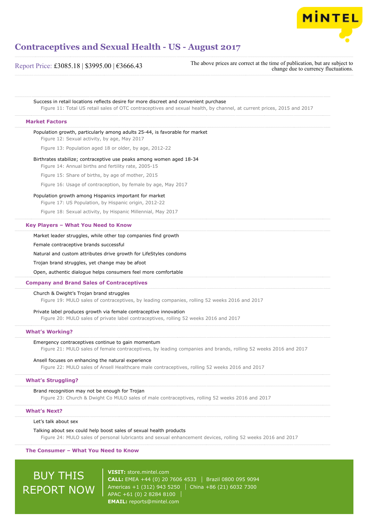

Report Price: £3085.18 | \$3995.00 | €3666.43

The above prices are correct at the time of publication, but are subject to change due to currency fluctuations.

Success in retail locations reflects desire for more discreet and convenient purchase Figure 11: Total US retail sales of OTC contraceptives and sexual health, by channel, at current prices, 2015 and 2017 Population growth, particularly among adults 25-44, is favorable for market Figure 12: Sexual activity, by age, May 2017 Figure 13: Population aged 18 or older, by age, 2012-22 Birthrates stabilize; contraceptive use peaks among women aged 18-34 Figure 14: Annual births and fertility rate, 2005-15 Figure 15: Share of births, by age of mother, 2015 Figure 16: Usage of contraception, by female by age, May 2017 Population growth among Hispanics important for market Figure 17: US Population, by Hispanic origin, 2012-22 Figure 18: Sexual activity, by Hispanic Millennial, May 2017 Market leader struggles, while other top companies find growth Female contraceptive brands successful Natural and custom attributes drive growth for LifeStyles condoms Trojan brand struggles, yet change may be afoot Open, authentic dialogue helps consumers feel more comfortable Church & Dwight's Trojan brand struggles Figure 19: MULO sales of contraceptives, by leading companies, rolling 52 weeks 2016 and 2017 Private label produces growth via female contraceptive innovation Figure 20: MULO sales of private label contraceptives, rolling 52 weeks 2016 and 2017 Emergency contraceptives continue to gain momentum Figure 21: MULO sales of female contraceptives, by leading companies and brands, rolling 52 weeks 2016 and 2017 Ansell focuses on enhancing the natural experience Figure 22: MULO sales of Ansell Healthcare male contraceptives, rolling 52 weeks 2016 and 2017 Brand recognition may not be enough for Trojan Figure 23: Church & Dwight Co MULO sales of male contraceptives, rolling 52 weeks 2016 and 2017 **Market Factors Key Players – What You Need to Know Company and Brand Sales of Contraceptives What's Working? What's Struggling? What's Next?**

Let's talk about sex

Talking about sex could help boost sales of sexual health products Figure 24: MULO sales of personal lubricants and sexual enhancement devices, rolling 52 weeks 2016 and 2017

#### **The Consumer – What You Need to Know**

BUY THIS REPORT NOW

**VISIT:** [store.mintel.com](http://reports.mintel.com//display/store/793983/) **CALL:** EMEA +44 (0) 20 7606 4533 Brazil 0800 095 9094 Americas +1 (312) 943 5250 | China +86 (21) 6032 7300 APAC +61 (0) 2 8284 8100 **EMAIL:** [reports@mintel.com](mailto:reports@mintel.com)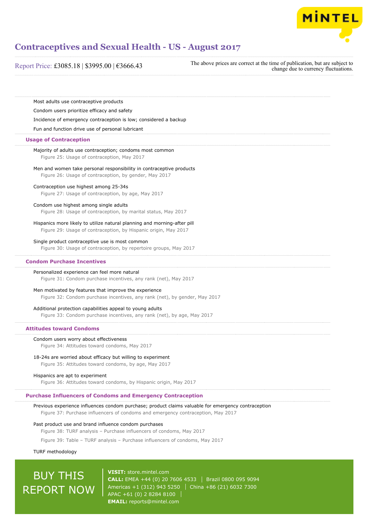

| Most adults use contraceptive products<br>Condom users prioritize efficacy and safety                                                       |                                                                                                     |
|---------------------------------------------------------------------------------------------------------------------------------------------|-----------------------------------------------------------------------------------------------------|
|                                                                                                                                             |                                                                                                     |
|                                                                                                                                             |                                                                                                     |
|                                                                                                                                             |                                                                                                     |
| Incidence of emergency contraception is low; considered a backup                                                                            |                                                                                                     |
| Fun and function drive use of personal lubricant                                                                                            |                                                                                                     |
| <b>Usage of Contraception</b>                                                                                                               |                                                                                                     |
| Majority of adults use contraception; condoms most common<br>Figure 25: Usage of contraception, May 2017                                    |                                                                                                     |
| Men and women take personal responsibility in contraceptive products<br>Figure 26: Usage of contraception, by gender, May 2017              |                                                                                                     |
| Contraception use highest among 25-34s                                                                                                      |                                                                                                     |
| Figure 27: Usage of contraception, by age, May 2017                                                                                         |                                                                                                     |
| Condom use highest among single adults<br>Figure 28: Usage of contraception, by marital status, May 2017                                    |                                                                                                     |
| Hispanics more likely to utilize natural planning and morning-after pill<br>Figure 29: Usage of contraception, by Hispanic origin, May 2017 |                                                                                                     |
| Single product contraceptive use is most common<br>Figure 30: Usage of contraception, by repertoire groups, May 2017                        |                                                                                                     |
| <b>Condom Purchase Incentives</b>                                                                                                           |                                                                                                     |
| Personalized experience can feel more natural<br>Figure 31: Condom purchase incentives, any rank (net), May 2017                            |                                                                                                     |
| Men motivated by features that improve the experience<br>Figure 32: Condom purchase incentives, any rank (net), by gender, May 2017         |                                                                                                     |
| Additional protection capabilities appeal to young adults                                                                                   |                                                                                                     |
| Figure 33: Condom purchase incentives, any rank (net), by age, May 2017                                                                     |                                                                                                     |
| <b>Attitudes toward Condoms</b>                                                                                                             |                                                                                                     |
| Condom users worry about effectiveness<br>Figure 34: Attitudes toward condoms, May 2017                                                     |                                                                                                     |
| 18-24s are worried about efficacy but willing to experiment<br>Figure 35: Attitudes toward condoms, by age, May 2017                        |                                                                                                     |
| Hispanics are apt to experiment                                                                                                             |                                                                                                     |
| Figure 36: Attitudes toward condoms, by Hispanic origin, May 2017                                                                           |                                                                                                     |
| <b>Purchase Influencers of Condoms and Emergency Contraception</b>                                                                          |                                                                                                     |
| Figure 37: Purchase influencers of condoms and emergency contraception, May 2017                                                            | Previous experience influences condom purchase; product claims valuable for emergency contraception |
| Past product use and brand influence condom purchases                                                                                       |                                                                                                     |
| Figure 38: TURF analysis - Purchase influencers of condoms, May 2017                                                                        |                                                                                                     |
|                                                                                                                                             | Figure 39: Table - TURF analysis - Purchase influencers of condoms, May 2017                        |

TURF methodology

# BUY THIS REPORT NOW

**VISIT:** [store.mintel.com](http://reports.mintel.com//display/store/793983/) **CALL:** EMEA +44 (0) 20 7606 4533 | Brazil 0800 095 9094 Americas +1 (312) 943 5250 China +86 (21) 6032 7300 APAC +61 (0) 2 8284 8100 **EMAIL:** [reports@mintel.com](mailto:reports@mintel.com)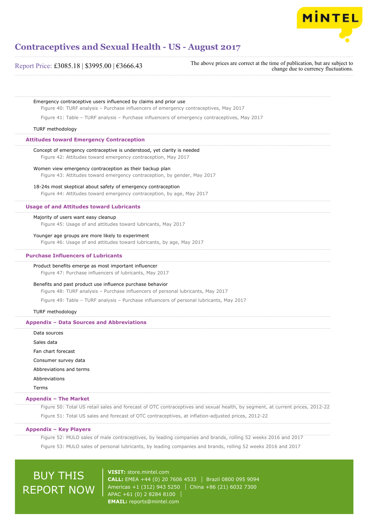

#### Report Price: £3085.18 | \$3995.00 | €3666.43

The above prices are correct at the time of publication, but are subject to change due to currency fluctuations.

Emergency contraceptive users influenced by claims and prior use Figure 40: TURF analysis – Purchase influencers of emergency contraceptives, May 2017 Figure 41: Table – TURF analysis – Purchase influencers of emergency contraceptives, May 2017 TURF methodology Concept of emergency contraceptive is understood, yet clarity is needed Figure 42: Attitudes toward emergency contraception, May 2017 Women view emergency contraception as their backup plan Figure 43: Attitudes toward emergency contraception, by gender, May 2017 18-24s most skeptical about safety of emergency contraception Figure 44: Attitudes toward emergency contraception, by age, May 2017 Majority of users want easy cleanup Figure 45: Usage of and attitudes toward lubricants, May 2017 Younger age groups are more likely to experiment Figure 46: Usage of and attitudes toward lubricants, by age, May 2017 Product benefits emerge as most important influencer Figure 47: Purchase influencers of lubricants, May 2017 Benefits and past product use influence purchase behavior Figure 48: TURF analysis – Purchase influencers of personal lubricants, May 2017 Figure 49: Table – TURF analysis – Purchase influencers of personal lubricants, May 2017 TURF methodology Data sources Sales data Fan chart forecast Consumer survey data Abbreviations and terms Abbreviations Terms Figure 50: Total US retail sales and forecast of OTC contraceptives and sexual health, by segment, at current prices, 2012-22 Figure 51: Total US sales and forecast of OTC contraceptives, at inflation-adjusted prices, 2012-22 **Attitudes toward Emergency Contraception Usage of and Attitudes toward Lubricants Purchase Influencers of Lubricants Appendix – Data Sources and Abbreviations Appendix – The Market Appendix – Key Players**

Figure 52: MULO sales of male contraceptives, by leading companies and brands, rolling 52 weeks 2016 and 2017 Figure 53: MULO sales of personal lubricants, by leading companies and brands, rolling 52 weeks 2016 and 2017

## BUY THIS REPORT NOW

**VISIT:** [store.mintel.com](http://reports.mintel.com//display/store/793983/) **CALL:** EMEA +44 (0) 20 7606 4533 Brazil 0800 095 9094 Americas +1 (312) 943 5250 | China +86 (21) 6032 7300 APAC +61 (0) 2 8284 8100 **EMAIL:** [reports@mintel.com](mailto:reports@mintel.com)